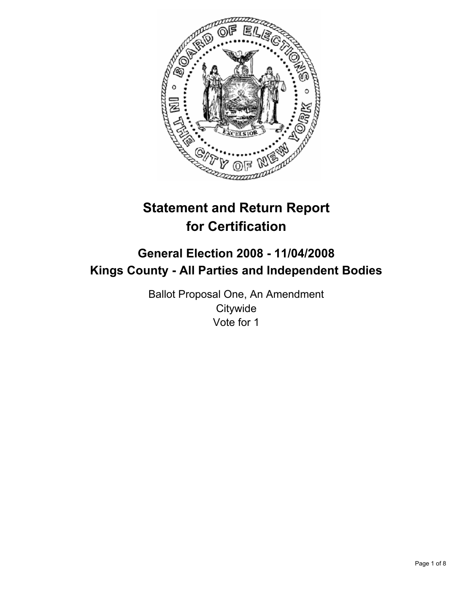

# **Statement and Return Report for Certification**

## **General Election 2008 - 11/04/2008 Kings County - All Parties and Independent Bodies**

Ballot Proposal One, An Amendment **Citywide** Vote for 1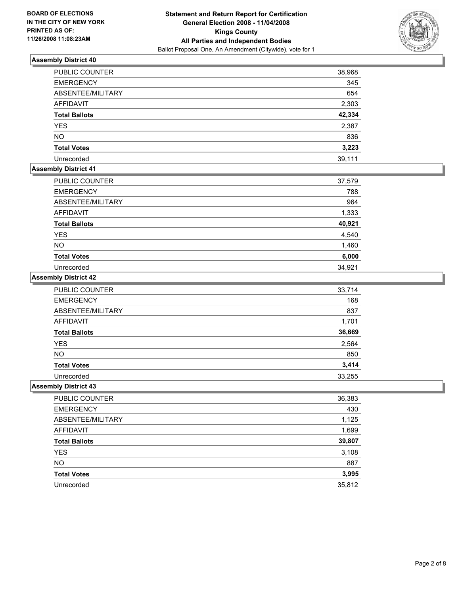

| <b>PUBLIC COUNTER</b> | 38,968 |
|-----------------------|--------|
| <b>EMERGENCY</b>      | 345    |
| ABSENTEE/MILITARY     | 654    |
| AFFIDAVIT             | 2,303  |
| <b>Total Ballots</b>  | 42,334 |
| <b>YES</b>            | 2,387  |
| <b>NO</b>             | 836    |
| <b>Total Votes</b>    | 3,223  |
| Unrecorded            | 39,111 |

## **Assembly District 41**

| PUBLIC COUNTER       | 37,579 |
|----------------------|--------|
| <b>EMERGENCY</b>     | 788    |
| ABSENTEE/MILITARY    | 964    |
| <b>AFFIDAVIT</b>     | 1,333  |
| <b>Total Ballots</b> | 40,921 |
| <b>YES</b>           | 4,540  |
| NO.                  | 1,460  |
| <b>Total Votes</b>   | 6,000  |
| Unrecorded           | 34,921 |

## **Assembly District 42**

| PUBLIC COUNTER       | 33,714 |
|----------------------|--------|
| <b>EMERGENCY</b>     | 168    |
| ABSENTEE/MILITARY    | 837    |
| <b>AFFIDAVIT</b>     | 1,701  |
| <b>Total Ballots</b> | 36,669 |
| YES                  | 2,564  |
| <b>NO</b>            | 850    |
| <b>Total Votes</b>   | 3,414  |
| Unrecorded           | 33,255 |

| <b>PUBLIC COUNTER</b> | 36,383 |
|-----------------------|--------|
| <b>EMERGENCY</b>      | 430    |
| ABSENTEE/MILITARY     | 1,125  |
| AFFIDAVIT             | 1,699  |
| <b>Total Ballots</b>  | 39,807 |
| <b>YES</b>            | 3,108  |
| <b>NO</b>             | 887    |
| <b>Total Votes</b>    | 3,995  |
| Unrecorded            | 35,812 |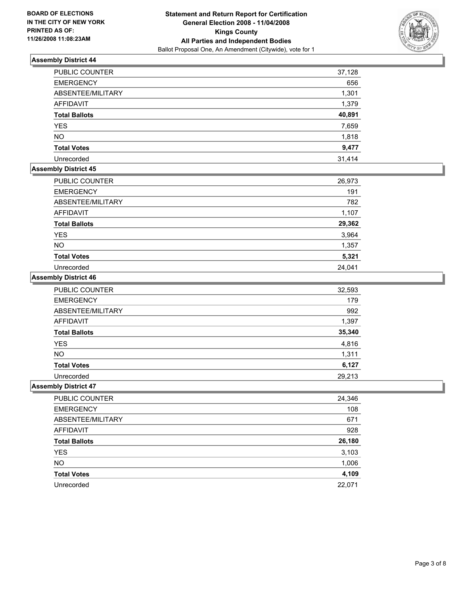

| PUBLIC COUNTER       | 37,128 |
|----------------------|--------|
| <b>EMERGENCY</b>     | 656    |
| ABSENTEE/MILITARY    | 1,301  |
| <b>AFFIDAVIT</b>     | 1,379  |
| <b>Total Ballots</b> | 40,891 |
| <b>YES</b>           | 7,659  |
| <b>NO</b>            | 1,818  |
| <b>Total Votes</b>   | 9,477  |
| Unrecorded           | 31,414 |

## **Assembly District 45**

| PUBLIC COUNTER       | 26,973 |
|----------------------|--------|
| <b>EMERGENCY</b>     | 191    |
| ABSENTEE/MILITARY    | 782    |
| <b>AFFIDAVIT</b>     | 1,107  |
| <b>Total Ballots</b> | 29,362 |
| <b>YES</b>           | 3,964  |
| <b>NO</b>            | 1,357  |
| <b>Total Votes</b>   | 5,321  |
| Unrecorded           | 24,041 |

#### **Assembly District 46**

| PUBLIC COUNTER       | 32,593 |
|----------------------|--------|
| <b>EMERGENCY</b>     | 179    |
| ABSENTEE/MILITARY    | 992    |
| <b>AFFIDAVIT</b>     | 1,397  |
| <b>Total Ballots</b> | 35,340 |
| <b>YES</b>           | 4,816  |
| <b>NO</b>            | 1,311  |
| <b>Total Votes</b>   | 6,127  |
| Unrecorded           | 29,213 |

| PUBLIC COUNTER       | 24,346 |
|----------------------|--------|
| <b>EMERGENCY</b>     | 108    |
| ABSENTEE/MILITARY    | 671    |
| AFFIDAVIT            | 928    |
| <b>Total Ballots</b> | 26,180 |
| <b>YES</b>           | 3,103  |
| <b>NO</b>            | 1,006  |
| <b>Total Votes</b>   | 4,109  |
| Unrecorded           | 22,071 |
|                      |        |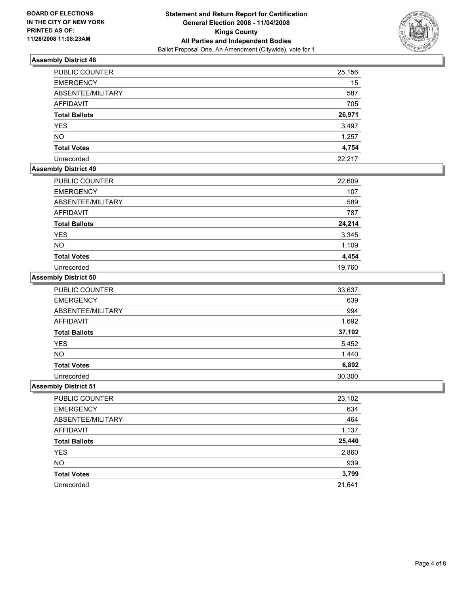

| PUBLIC COUNTER       | 25,156 |
|----------------------|--------|
| <b>EMERGENCY</b>     | 15     |
| ABSENTEE/MILITARY    | 587    |
| <b>AFFIDAVIT</b>     | 705    |
| <b>Total Ballots</b> | 26,971 |
| <b>YES</b>           | 3,497  |
| <b>NO</b>            | 1,257  |
| <b>Total Votes</b>   | 4,754  |
| Unrecorded           | 22,217 |

## **Assembly District 49**

| PUBLIC COUNTER       | 22,609 |
|----------------------|--------|
| <b>EMERGENCY</b>     | 107    |
| ABSENTEE/MILITARY    | 589    |
| <b>AFFIDAVIT</b>     | 787    |
| <b>Total Ballots</b> | 24,214 |
| <b>YES</b>           | 3,345  |
| <b>NO</b>            | 1,109  |
| <b>Total Votes</b>   | 4,454  |
| Unrecorded           | 19,760 |

## **Assembly District 50**

| PUBLIC COUNTER       | 33,637 |
|----------------------|--------|
| <b>EMERGENCY</b>     | 639    |
| ABSENTEE/MILITARY    | 994    |
| AFFIDAVIT            | 1,692  |
| <b>Total Ballots</b> | 37,192 |
| <b>YES</b>           | 5,452  |
| <b>NO</b>            | 1,440  |
| <b>Total Votes</b>   | 6,892  |
| Unrecorded           | 30,300 |

| 23,102 |
|--------|
| 634    |
| 464    |
| 1,137  |
| 25,440 |
| 2,860  |
| 939    |
| 3,799  |
| 21,641 |
|        |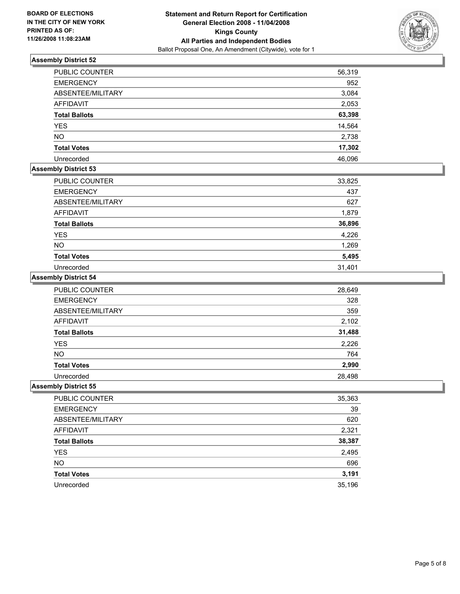

| PUBLIC COUNTER       | 56,319 |
|----------------------|--------|
| <b>EMERGENCY</b>     | 952    |
| ABSENTEE/MILITARY    | 3,084  |
| <b>AFFIDAVIT</b>     | 2,053  |
| <b>Total Ballots</b> | 63,398 |
| <b>YES</b>           | 14,564 |
| <b>NO</b>            | 2,738  |
| <b>Total Votes</b>   | 17,302 |
| Unrecorded           | 46,096 |

## **Assembly District 53**

| PUBLIC COUNTER       | 33,825 |
|----------------------|--------|
| <b>EMERGENCY</b>     | 437    |
| ABSENTEE/MILITARY    | 627    |
| <b>AFFIDAVIT</b>     | 1,879  |
| <b>Total Ballots</b> | 36,896 |
| <b>YES</b>           | 4,226  |
| <b>NO</b>            | 1,269  |
| <b>Total Votes</b>   | 5,495  |
| Unrecorded           | 31,401 |

#### **Assembly District 54**

| PUBLIC COUNTER       | 28,649 |
|----------------------|--------|
| <b>EMERGENCY</b>     | 328    |
| ABSENTEE/MILITARY    | 359    |
| <b>AFFIDAVIT</b>     | 2,102  |
| <b>Total Ballots</b> | 31,488 |
| YES                  | 2,226  |
| <b>NO</b>            | 764    |
| <b>Total Votes</b>   | 2,990  |
| Unrecorded           | 28,498 |

| PUBLIC COUNTER       | 35,363 |
|----------------------|--------|
| <b>EMERGENCY</b>     | 39     |
| ABSENTEE/MILITARY    | 620    |
| <b>AFFIDAVIT</b>     | 2,321  |
| <b>Total Ballots</b> | 38,387 |
| <b>YES</b>           | 2,495  |
| <b>NO</b>            | 696    |
| <b>Total Votes</b>   | 3,191  |
| Unrecorded           | 35,196 |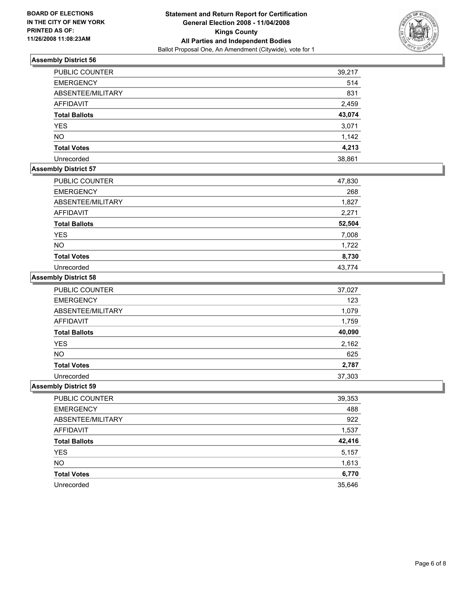

| <b>PUBLIC COUNTER</b> | 39,217 |
|-----------------------|--------|
| <b>EMERGENCY</b>      | 514    |
| ABSENTEE/MILITARY     | 831    |
| <b>AFFIDAVIT</b>      | 2,459  |
| <b>Total Ballots</b>  | 43,074 |
| <b>YES</b>            | 3,071  |
| <b>NO</b>             | 1,142  |
| <b>Total Votes</b>    | 4,213  |
| Unrecorded            | 38,861 |

## **Assembly District 57**

| <b>PUBLIC COUNTER</b> | 47,830 |
|-----------------------|--------|
| <b>EMERGENCY</b>      | 268    |
| ABSENTEE/MILITARY     | 1,827  |
| <b>AFFIDAVIT</b>      | 2,271  |
| <b>Total Ballots</b>  | 52,504 |
| <b>YES</b>            | 7,008  |
| <b>NO</b>             | 1,722  |
| <b>Total Votes</b>    | 8,730  |
| Unrecorded            | 43.774 |

## **Assembly District 58**

| PUBLIC COUNTER       | 37,027 |
|----------------------|--------|
| <b>EMERGENCY</b>     | 123    |
| ABSENTEE/MILITARY    | 1,079  |
| <b>AFFIDAVIT</b>     | 1,759  |
| <b>Total Ballots</b> | 40,090 |
| <b>YES</b>           | 2,162  |
| <b>NO</b>            | 625    |
| <b>Total Votes</b>   | 2,787  |
| Unrecorded           | 37,303 |

| PUBLIC COUNTER       | 39,353 |
|----------------------|--------|
| <b>EMERGENCY</b>     | 488    |
| ABSENTEE/MILITARY    | 922    |
| AFFIDAVIT            | 1,537  |
| <b>Total Ballots</b> | 42,416 |
| <b>YES</b>           | 5,157  |
| <b>NO</b>            | 1,613  |
| <b>Total Votes</b>   | 6,770  |
| Unrecorded           | 35,646 |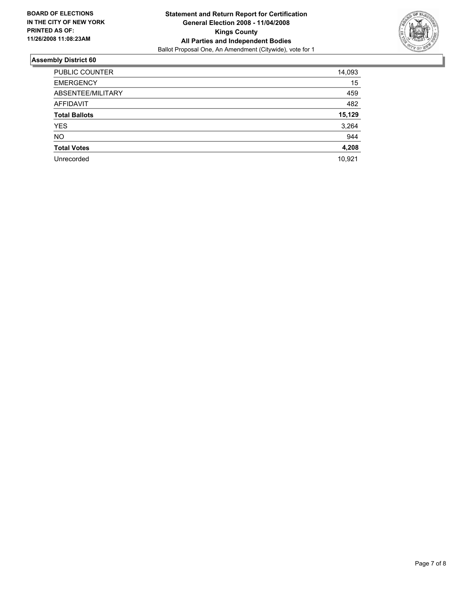

| 14,093 |
|--------|
| 15     |
| 459    |
| 482    |
| 15,129 |
| 3,264  |
| 944    |
| 4,208  |
| 10,921 |
|        |